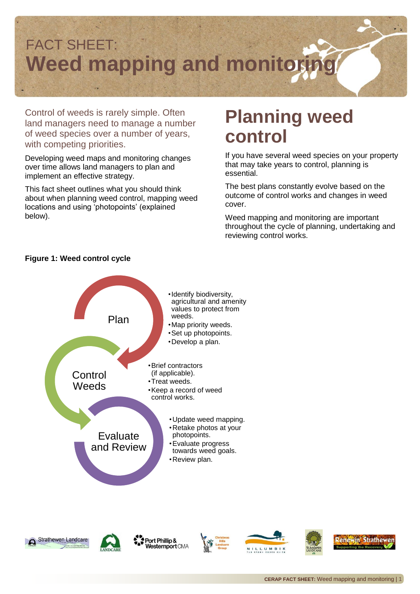

Control of weeds is rarely simple. Often land managers need to manage a number of weed species over a number of years, with competing priorities.

Developing weed maps and monitoring changes over time allows land managers to plan and implement an effective strategy.

This fact sheet outlines what you should think about when planning weed control, mapping weed locations and using 'photopoints' (explained below).

## **Planning weed control**

If you have several weed species on your property that may take years to control, planning is essential.

The best plans constantly evolve based on the outcome of control works and changes in weed cover.

Weed mapping and monitoring are important throughout the cycle of planning, undertaking and reviewing control works.



### **Figure 1: Weed control cycle**





Port Phillip & Westernport CMA







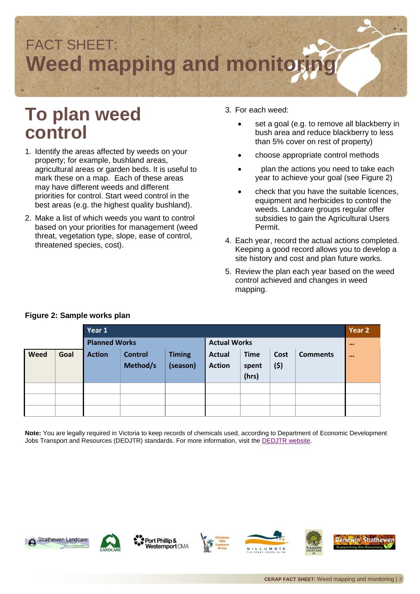

### **To plan weed control**

- 1. Identify the areas affected by weeds on your property; for example, bushland areas, agricultural areas or garden beds. It is useful to mark these on a map. Each of these areas may have different weeds and different priorities for control. Start weed control in the best areas (e.g. the highest quality bushland).
- 2. Make a list of which weeds you want to control based on your priorities for management (weed threat, vegetation type, slope, ease of control, threatened species, cost).
- 3. For each weed:
	- set a goal (e.g. to remove all blackberry in bush area and reduce blackberry to less than 5% cover on rest of property)
	- choose appropriate control methods
	- plan the actions you need to take each year to achieve your goal (see Figure 2)
	- check that you have the suitable licences, equipment and herbicides to control the weeds. Landcare groups regular offer subsidies to gain the Agricultural Users Permit.
- 4. Each year, record the actual actions completed. Keeping a good record allows you to develop a site history and cost and plan future works.
- 5. Review the plan each year based on the weed control achieved and changes in weed mapping.

|      |      | Year 1               |                            |                           |                                |                               |              |                 | Year 2                  |
|------|------|----------------------|----------------------------|---------------------------|--------------------------------|-------------------------------|--------------|-----------------|-------------------------|
|      |      | <b>Planned Works</b> |                            |                           | <b>Actual Works</b>            |                               |              |                 | $\bullet\bullet\bullet$ |
| Weed | Goal | <b>Action</b>        | <b>Control</b><br>Method/s | <b>Timing</b><br>(season) | <b>Actual</b><br><b>Action</b> | <b>Time</b><br>spent<br>(hrs) | Cost<br>(\$) | <b>Comments</b> |                         |
|      |      |                      |                            |                           |                                |                               |              |                 |                         |
|      |      |                      |                            |                           |                                |                               |              |                 |                         |
|      |      |                      |                            |                           |                                |                               |              |                 |                         |

#### **Figure 2: Sample works plan**

**Note:** You are legally required in Victoria to keep records of chemicals used, according to Department of Economic Development Jobs Transport and Resources (DEDJTR) standards. For more information, visit the [DEDJTR website.](http://agriculture.vic.gov.au/agriculture/farm-management/chemical-use)





Port Phillip & **Vesternport CMA** 





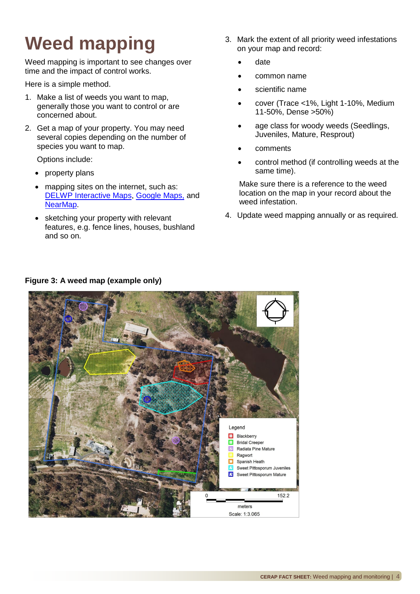# **Weed mapping**

Weed mapping is important to see changes over time and the impact of control works.

Here is a simple method.

- 1. Make a list of weeds you want to map, generally those you want to control or are concerned about.
- 2. Get a map of your property. You may need several copies depending on the number of species you want to map.

Options include:

- property plans
- mapping sites on the internet, such as: DELWP [Interactive Maps,](http://mapshare2.dse.vic.gov.au/MapShare2EXT/imf.jsp?site=bim) [Google Maps,](https://www.google.com.au/maps) and [NearMap.](http://www.nearmap.com/)
- sketching your property with relevant features, e.g. fence lines, houses, bushland and so on.
- 3. Mark the extent of all priority weed infestations on your map and record:
	- date
	- common name
	- scientific name
	- cover (Trace <1%, Light 1-10%, Medium 11-50%, Dense >50%)
	- age class for woody weeds (Seedlings, Juveniles, Mature, Resprout)
	- comments
	- control method (if controlling weeds at the same time).

Make sure there is a reference to the weed location on the map in your record about the weed infestation.

4. Update weed mapping annually or as required.



### **Figure 3: A weed map (example only)**